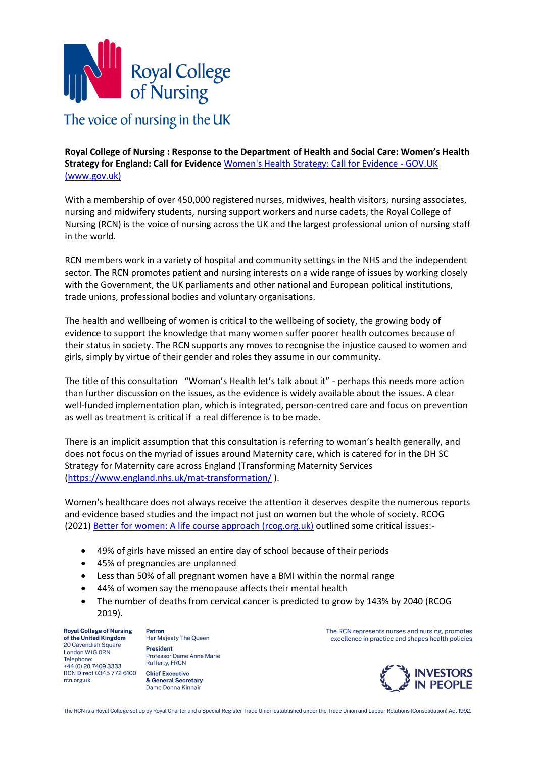

**Royal College of Nursing : Response to the Department of Health and Social Care: Women's Health Strategy for England: Call for Evidence** Women's Health Strategy: Call for Evidence - GOV.UK (www.gov.uk)

With a membership of over 450,000 registered nurses, midwives, health visitors, nursing associates, nursing and midwifery students, nursing support workers and nurse cadets, the Royal College of Nursing (RCN) is the voice of nursing across the UK and the largest professional union of nursing staff in the world.

RCN members work in a variety of hospital and community settings in the NHS and the independent sector. The RCN promotes patient and nursing interests on a wide range of issues by working closely with the Government, the UK parliaments and other national and European political institutions, trade unions, professional bodies and voluntary organisations.

The health and wellbeing of women is critical to the wellbeing of society, the growing body of evidence to support the knowledge that many women suffer poorer health outcomes because of their status in society. The RCN supports any moves to recognise the injustice caused to women and girls, simply by virtue of their gender and roles they assume in our community.

The title of this consultation "Woman's Health let's talk about it" - perhaps this needs more action than further discussion on the issues, as the evidence is widely available about the issues. A clear well-funded implementation plan, which is integrated, person-centred care and focus on prevention as well as treatment is critical if a real difference is to be made.

There is an implicit assumption that this consultation is referring to woman's health generally, and does not focus on the myriad of issues around Maternity care, which is catered for in the DH SC Strategy for Maternity care across England (Transforming Maternity Services [\(https://www.england.nhs.uk/mat-transformation/](https://www.england.nhs.uk/mat-transformation/) ).

Women's healthcare does not always receive the attention it deserves despite the numerous reports and evidence based studies and the impact not just on women but the whole of society. RCOG (2021[\) Better for women: A life course approach \(rcog.org.uk\)](https://www.rcog.org.uk/globalassets/documents/news/campaigns-and-opinions/better-for-women/better-for-women-life-course-approach.pdf) outlined some critical issues:-

- 49% of girls have missed an entire day of school because of their periods
- 45% of pregnancies are unplanned
- Less than 50% of all pregnant women have a BMI within the normal range
- 44% of women say the menopause affects their mental health
- The number of deaths from cervical cancer is predicted to grow by 143% by 2040 (RCOG 2019).

**Royal College of Nursing** of the United Kingdom 20 Cavendish Square London W1G ORN Telephone: +44 (0) 20 7409 3333 RCN Direct 0345 772 6100 rcn.org.uk

**Patron** Her Majesty The Queen **President** Professor Dame Anne Marie Rafferty, FRCN **Chief Executive** & General Secretary Dame Donna Kinnair

The RCN represents nurses and nursing, promotes excellence in practice and shapes health policies

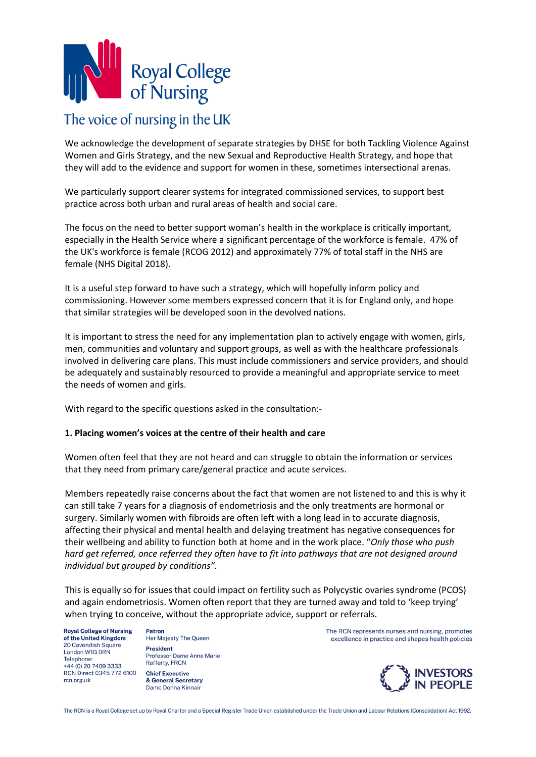

We acknowledge the development of separate strategies by DHSE for both Tackling Violence Against Women and Girls Strategy, and the new Sexual and Reproductive Health Strategy, and hope that they will add to the evidence and support for women in these, sometimes intersectional arenas.

We particularly support clearer systems for integrated commissioned services, to support best practice across both urban and rural areas of health and social care.

The focus on the need to better support woman's health in the workplace is critically important, especially in the Health Service where a significant percentage of the workforce is female. 47% of the UK's workforce is female (RCOG 2012) and approximately 77% of total staff in the NHS are female (NHS Digital 2018).

It is a useful step forward to have such a strategy, which will hopefully inform policy and commissioning. However some members expressed concern that it is for England only, and hope that similar strategies will be developed soon in the devolved nations.

It is important to stress the need for any implementation plan to actively engage with women, girls, men, communities and voluntary and support groups, as well as with the healthcare professionals involved in delivering care plans. This must include commissioners and service providers, and should be adequately and sustainably resourced to provide a meaningful and appropriate service to meet the needs of women and girls.

With regard to the specific questions asked in the consultation:-

#### **1. Placing women's voices at the centre of their health and care**

Women often feel that they are not heard and can struggle to obtain the information or services that they need from primary care/general practice and acute services.

Members repeatedly raise concerns about the fact that women are not listened to and this is why it can still take 7 years for a diagnosis of endometriosis and the only treatments are hormonal or surgery. Similarly women with fibroids are often left with a long lead in to accurate diagnosis, affecting their physical and mental health and delaying treatment has negative consequences for their wellbeing and ability to function both at home and in the work place. "*Only those who push hard get referred, once referred they often have to fit into pathways that are not designed around individual but grouped by conditions".*

This is equally so for issues that could impact on fertility such as Polycystic ovaries syndrome (PCOS) and again endometriosis. Women often report that they are turned away and told to 'keep trying' when trying to conceive, without the appropriate advice, support or referrals.

**Royal College of Nursing** of the United Kingdom 20 Cavendish Square London W1G ORN Telephone: +44 (0) 20 7409 3333 RCN Direct 0345 772 6100 rcn.org.uk

**Patron** Her Majesty The Queen **President** Professor Dame Anne Marie Rafferty, FRCN **Chief Executive** & General Secretary

Dame Donna Kinnair

The RCN represents nurses and nursing, promotes excellence in practice and shapes health policies

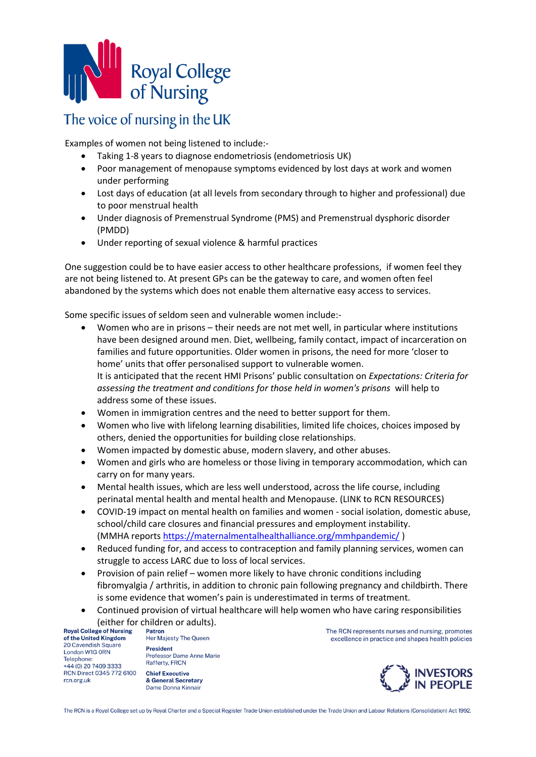

Examples of women not being listened to include:-

- Taking 1-8 years to diagnose endometriosis (endometriosis UK)
- Poor management of menopause symptoms evidenced by lost days at work and women under performing
- Lost days of education (at all levels from secondary through to higher and professional) due to poor menstrual health
- Under diagnosis of Premenstrual Syndrome (PMS) and Premenstrual dysphoric disorder (PMDD)
- Under reporting of sexual violence & harmful practices

One suggestion could be to have easier access to other healthcare professions, if women feel they are not being listened to. At present GPs can be the gateway to care, and women often feel abandoned by the systems which does not enable them alternative easy access to services.

Some specific issues of seldom seen and vulnerable women include:-

- Women who are in prisons their needs are not met well, in particular where institutions have been designed around men. Diet, wellbeing, family contact, impact of incarceration on families and future opportunities. Older women in prisons, the need for more 'closer to home' units that offer personalised support to vulnerable women. It is anticipated that the recent HMI Prisons' public consultation on *Expectations: Criteria for assessing the treatment and conditions for those held in women's prisons* will help to address some of these issues.
- Women in immigration centres and the need to better support for them.
- Women who live with lifelong learning disabilities, limited life choices, choices imposed by others, denied the opportunities for building close relationships.
- Women impacted by domestic abuse, modern slavery, and other abuses.
- Women and girls who are homeless or those living in temporary accommodation, which can carry on for many years.
- Mental health issues, which are less well understood, across the life course, including perinatal mental health and mental health and Menopause. (LINK to RCN RESOURCES)
- COVID-19 impact on mental health on families and women social isolation, domestic abuse, school/child care closures and financial pressures and employment instability. (MMHA reports <https://maternalmentalhealthalliance.org/mmhpandemic/> )
- Reduced funding for, and access to contraception and family planning services, women can struggle to access LARC due to loss of local services.
- Provision of pain relief women more likely to have chronic conditions including fibromyalgia / arthritis, in addition to chronic pain following pregnancy and childbirth. There is some evidence that women's pain is underestimated in terms of treatment.
- Continued provision of virtual healthcare will help women who have caring responsibilities (either for children or adults).<br>Royal College of Nursing Patron

of the United Kingdom 20 Cavendish Square London W1G ORN Telephone: +44 (0) 20 7409 3333 RCN Direct 0345 772 6100 rcn.org.uk

Her Majesty The Queen **President** Professor Dame Anne Marie Rafferty, FRCN **Chief Executive** & General Secretary

Dame Donna Kinnair

The RCN represents nurses and nursing, promotes excellence in practice and shapes health policies

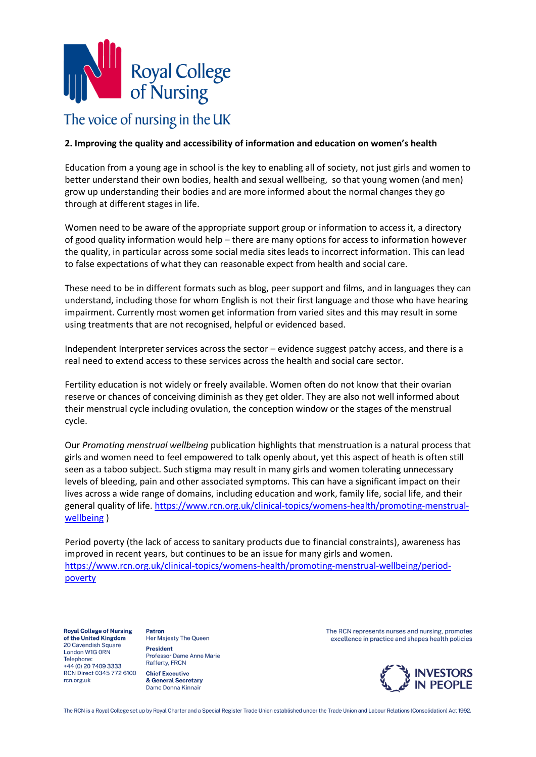

#### **2. Improving the quality and accessibility of information and education on women's health**

Education from a young age in school is the key to enabling all of society, not just girls and women to better understand their own bodies, health and sexual wellbeing, so that young women (and men) grow up understanding their bodies and are more informed about the normal changes they go through at different stages in life.

Women need to be aware of the appropriate support group or information to access it, a directory of good quality information would help – there are many options for access to information however the quality, in particular across some social media sites leads to incorrect information. This can lead to false expectations of what they can reasonable expect from health and social care.

These need to be in different formats such as blog, peer support and films, and in languages they can understand, including those for whom English is not their first language and those who have hearing impairment. Currently most women get information from varied sites and this may result in some using treatments that are not recognised, helpful or evidenced based.

Independent Interpreter services across the sector – evidence suggest patchy access, and there is a real need to extend access to these services across the health and social care sector.

Fertility education is not widely or freely available. Women often do not know that their ovarian reserve or chances of conceiving diminish as they get older. They are also not well informed about their menstrual cycle including ovulation, the conception window or the stages of the menstrual cycle.

Our *Promoting menstrual wellbeing* publication highlights that menstruation is a natural process that girls and women need to feel empowered to talk openly about, yet this aspect of heath is often still seen as a taboo subject. Such stigma may result in many girls and women tolerating unnecessary levels of bleeding, pain and other associated symptoms. This can have a significant impact on their lives across a wide range of domains, including education and work, family life, social life, and their general quality of life. [https://www.rcn.org.uk/clinical-topics/womens-health/promoting-menstrual](https://www.rcn.org.uk/clinical-topics/womens-health/promoting-menstrual-wellbeing)[wellbeing](https://www.rcn.org.uk/clinical-topics/womens-health/promoting-menstrual-wellbeing) )

Period poverty (the lack of access to sanitary products due to financial constraints), awareness has improved in recent years, but continues to be an issue for many girls and women. [https://www.rcn.org.uk/clinical-topics/womens-health/promoting-menstrual-wellbeing/period](https://www.rcn.org.uk/clinical-topics/womens-health/promoting-menstrual-wellbeing/period-poverty)[poverty](https://www.rcn.org.uk/clinical-topics/womens-health/promoting-menstrual-wellbeing/period-poverty)

**Royal College of Nursing** of the United Kingdom 20 Cavendish Square London W1G ORN Telephone: +44 (0) 20 7409 3333 RCN Direct 0345 772 6100 rcn.org.uk

Patron Her Majesty The Queen **President** Professor Dame Anne Marie Rafferty, FRCN **Chief Executive** 

& General Secretary Dame Donna Kinnair

The RCN represents nurses and nursing, promotes excellence in practice and shapes health policies

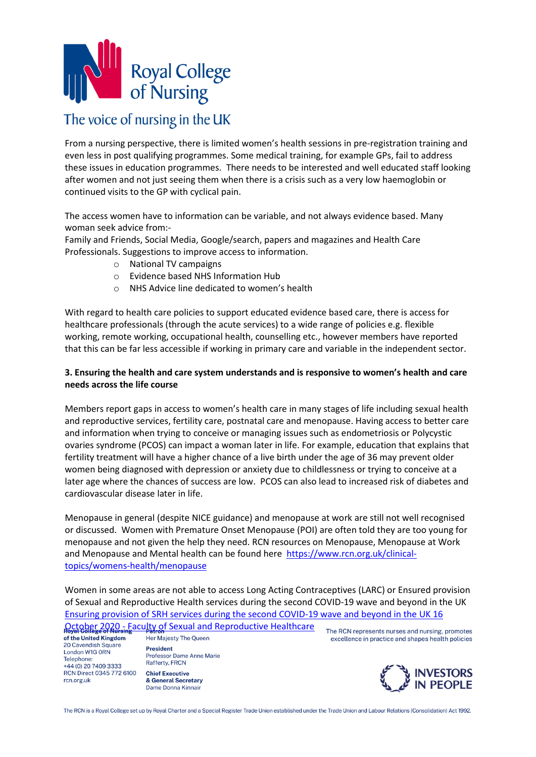

From a nursing perspective, there is limited women's health sessions in pre-registration training and even less in post qualifying programmes. Some medical training, for example GPs, fail to address these issues in education programmes. There needs to be interested and well educated staff looking after women and not just seeing them when there is a crisis such as a very low haemoglobin or continued visits to the GP with cyclical pain.

The access women have to information can be variable, and not always evidence based. Many woman seek advice from:-

Family and Friends, Social Media, Google/search, papers and magazines and Health Care Professionals. Suggestions to improve access to information.

- o National TV campaigns
- o Evidence based NHS Information Hub
- o NHS Advice line dedicated to women's health

With regard to health care policies to support educated evidence based care, there is access for healthcare professionals (through the acute services) to a wide range of policies e.g. flexible working, remote working, occupational health, counselling etc., however members have reported that this can be far less accessible if working in primary care and variable in the independent sector.

### **3. Ensuring the health and care system understands and is responsive to women's health and care needs across the life course**

Members report gaps in access to women's health care in many stages of life including sexual health and reproductive services, fertility care, postnatal care and menopause. Having access to better care and information when trying to conceive or managing issues such as endometriosis or Polycystic ovaries syndrome (PCOS) can impact a woman later in life. For example, education that explains that fertility treatment will have a higher chance of a live birth under the age of 36 may prevent older women being diagnosed with depression or anxiety due to childlessness or trying to conceive at a later age where the chances of success are low. PCOS can also lead to increased risk of diabetes and cardiovascular disease later in life.

Menopause in general (despite NICE guidance) and menopause at work are still not well recognised or discussed. Women with Premature Onset Menopause (POI) are often told they are too young for menopause and not given the help they need. RCN resources on Menopause, Menopause at Work and Menopause and Mental health can be found here [https://www.rcn.org.uk/clinical](https://www.rcn.org.uk/clinical-topics/womens-health/menopause)[topics/womens-health/menopause](https://www.rcn.org.uk/clinical-topics/womens-health/menopause)

Women in some areas are not able to access Long Acting Contraceptives (LARC) or Ensured provision of Sexual and Reproductive Health services during the second COVID-19 wave and beyond in the UK [Ensuring provision of SRH services during the second COVID-19 wave and beyond in the UK](https://www.fsrh.org/documents/fsrh-guidance-srh-services-second-wave-covid-october-2020/) 16 October 2020 - [Faculty of Sexual and Reproductive Healthcare](https://www.fsrh.org/documents/fsrh-guidance-srh-services-second-wave-covid-october-2020/)

of the United Kingdom 20 Cavendish Square London W1G ORN Telephone: +44 (0) 20 7409 3333 RCN Direct 0345 772 6100 rcn.org.uk

Her Majesty The Queen **President** Professor Dame Anne Marie Rafferty, FRCN **Chief Executive** & General Secretary Dame Donna Kinnair

The RCN represents nurses and nursing, promotes excellence in practice and shapes health policies

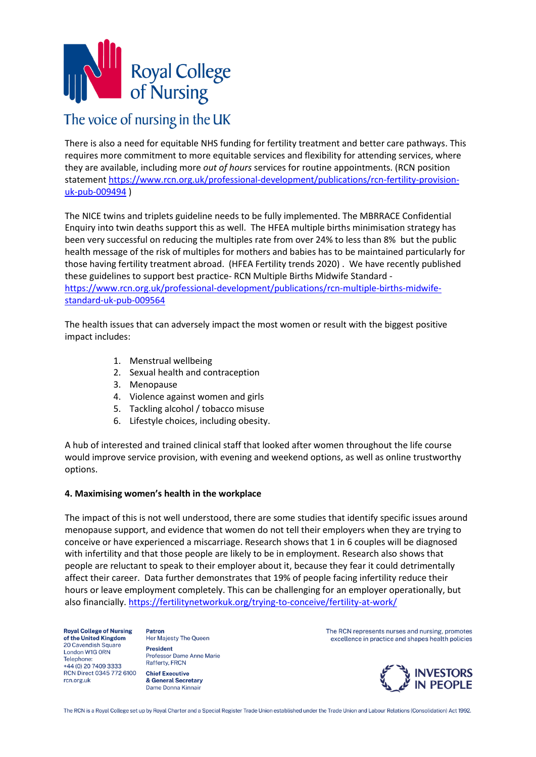

There is also a need for equitable NHS funding for fertility treatment and better care pathways. This requires more commitment to more equitable services and flexibility for attending services, where they are available, including more *out of hours* services for routine appointments. (RCN position statement [https://www.rcn.org.uk/professional-development/publications/rcn-fertility-provision](https://www.rcn.org.uk/professional-development/publications/rcn-fertility-provision-uk-pub-009494)[uk-pub-009494](https://www.rcn.org.uk/professional-development/publications/rcn-fertility-provision-uk-pub-009494) )

The NICE twins and triplets guideline needs to be fully implemented. The MBRRACE Confidential Enquiry into twin deaths support this as well. The HFEA multiple births minimisation strategy has been very successful on reducing the multiples rate from over 24% to less than 8% but the public health message of the risk of multiples for mothers and babies has to be maintained particularly for those having fertility treatment abroad. (HFEA Fertility trends 2020) . We have recently published these guidelines to support best practice- RCN Multiple Births Midwife Standard [https://www.rcn.org.uk/professional-development/publications/rcn-multiple-births-midwife](https://www.rcn.org.uk/professional-development/publications/rcn-multiple-births-midwife-standard-uk-pub-009564)[standard-uk-pub-009564](https://www.rcn.org.uk/professional-development/publications/rcn-multiple-births-midwife-standard-uk-pub-009564)

The health issues that can adversely impact the most women or result with the biggest positive impact includes:

- 1. Menstrual wellbeing
- 2. Sexual health and contraception
- 3. Menopause
- 4. Violence against women and girls
- 5. Tackling alcohol / tobacco misuse
- 6. Lifestyle choices, including obesity.

A hub of interested and trained clinical staff that looked after women throughout the life course would improve service provision, with evening and weekend options, as well as online trustworthy options.

#### **4. Maximising women's health in the workplace**

The impact of this is not well understood, there are some studies that identify specific issues around menopause support, and evidence that women do not tell their employers when they are trying to conceive or have experienced a miscarriage. Research shows that 1 in 6 couples will be diagnosed with infertility and that those people are likely to be in employment. Research also shows that people are reluctant to speak to their employer about it, because they fear it could detrimentally affect their career. Data further demonstrates that 19% of people facing infertility reduce their hours or leave employment completely. This can be challenging for an employer operationally, but also financially. [https://fertilitynetworkuk.org/trying-to-conceive/fertility-at-work/](https://eur02.safelinks.protection.outlook.com/?url=https%3A%2F%2Ffertilitynetworkuk.org%2Ftrying-to-conceive%2Ffertility-at-work%2F&data=04%7C01%7Ccarmel.bagness%40rcn.org.uk%7Cd9f2d0053f3f4340def508d91621718c%7C0b5cffc720db49d9abc64261d1459e26%7C0%7C0%7C637565155160318568%7CUnknown%7CTWFpbGZsb3d8eyJWIjoiMC4wLjAwMDAiLCJQIjoiV2luMzIiLCJBTiI6Ik1haWwiLCJXVCI6Mn0%3D%7C1000&sdata=yE2PP%2BxWLxZQJLB%2BwqzHq8bCJRLlGm109TO8U5UcfV0%3D&reserved=0)

**Royal College of Nursing** of the United Kingdom 20 Cavendish Square London W1G ORN Telephone: +44 (0) 20 7409 3333 RCN Direct 0345 772 6100 rcn.org.uk

**Patron** Her Majesty The Queen **President** Professor Dame Anne Marie Rafferty, FRCN **Chief Executive** 

& General Secretary Dame Donna Kinnair

The RCN represents nurses and nursing, promotes excellence in practice and shapes health policies

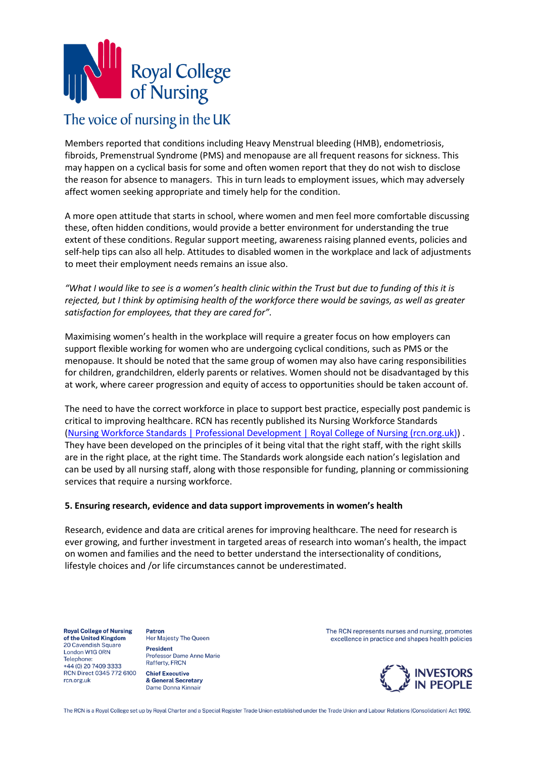

Members reported that conditions including Heavy Menstrual bleeding (HMB), endometriosis, fibroids, Premenstrual Syndrome (PMS) and menopause are all frequent reasons for sickness. This may happen on a cyclical basis for some and often women report that they do not wish to disclose the reason for absence to managers. This in turn leads to employment issues, which may adversely affect women seeking appropriate and timely help for the condition.

A more open attitude that starts in school, where women and men feel more comfortable discussing these, often hidden conditions, would provide a better environment for understanding the true extent of these conditions. Regular support meeting, awareness raising planned events, policies and self-help tips can also all help. Attitudes to disabled women in the workplace and lack of adjustments to meet their employment needs remains an issue also.

*"What I would like to see is a women's health clinic within the Trust but due to funding of this it is rejected, but I think by optimising health of the workforce there would be savings, as well as greater satisfaction for employees, that they are cared for".*

Maximising women's health in the workplace will require a greater focus on how employers can support flexible working for women who are undergoing cyclical conditions, such as PMS or the menopause. It should be noted that the same group of women may also have caring responsibilities for children, grandchildren, elderly parents or relatives. Women should not be disadvantaged by this at work, where career progression and equity of access to opportunities should be taken account of.

The need to have the correct workforce in place to support best practice, especially post pandemic is critical to improving healthcare. RCN has recently published its Nursing Workforce Standards [\(Nursing Workforce Standards | Professional Development | Royal College of Nursing \(rcn.org.uk\)\)](https://www.rcn.org.uk/professional-development/nursing-workforce-standards) . They have been developed on the principles of it being vital that the right staff, with the right skills are in the right place, at the right time. The Standards work alongside each nation's legislation and can be used by all nursing staff, along with those responsible for funding, planning or commissioning services that require a nursing workforce.

#### **5. Ensuring research, evidence and data support improvements in women's health**

Research, evidence and data are critical arenes for improving healthcare. The need for research is ever growing, and further investment in targeted areas of research into woman's health, the impact on women and families and the need to better understand the intersectionality of conditions, lifestyle choices and /or life circumstances cannot be underestimated.

**Royal College of Nursing** of the United Kingdom 20 Cavendish Square London W1G ORN Telephone: +44 (0) 20 7409 3333 RCN Direct 0345 772 6100 rcn.org.uk

**Patron** Her Majesty The Queen **President** Professor Dame Anne Marie Rafferty, FRCN **Chief Executive** 

& General Secretary Dame Donna Kinnair

The RCN represents nurses and nursing, promotes excellence in practice and shapes health policies

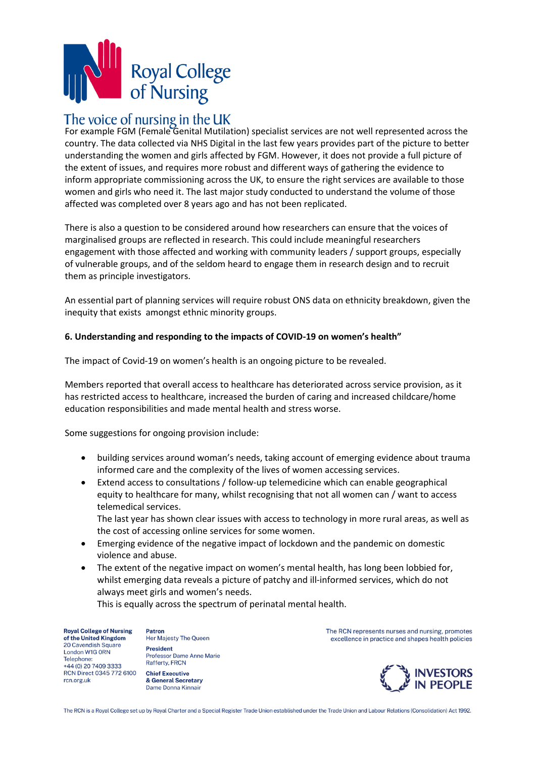

For example FGM (Female Genital Mutilation) specialist services are not well represented across the country. The data collected via NHS Digital in the last few years provides part of the picture to better understanding the women and girls affected by FGM. However, it does not provide a full picture of the extent of issues, and requires more robust and different ways of gathering the evidence to inform appropriate commissioning across the UK, to ensure the right services are available to those women and girls who need it. The last major study conducted to understand the volume of those affected was completed over 8 years ago and has not been replicated.

There is also a question to be considered around how researchers can ensure that the voices of marginalised groups are reflected in research. This could include meaningful researchers engagement with those affected and working with community leaders / support groups, especially of vulnerable groups, and of the seldom heard to engage them in research design and to recruit them as principle investigators.

An essential part of planning services will require robust ONS data on ethnicity breakdown, given the inequity that exists amongst ethnic minority groups.

### **6. Understanding and responding to the impacts of COVID-19 on women's health"**

The impact of Covid-19 on women's health is an ongoing picture to be revealed.

Members reported that overall access to healthcare has deteriorated across service provision, as it has restricted access to healthcare, increased the burden of caring and increased childcare/home education responsibilities and made mental health and stress worse.

Some suggestions for ongoing provision include:

- building services around woman's needs, taking account of emerging evidence about trauma informed care and the complexity of the lives of women accessing services.
- Extend access to consultations / follow-up telemedicine which can enable geographical equity to healthcare for many, whilst recognising that not all women can / want to access telemedical services.

The last year has shown clear issues with access to technology in more rural areas, as well as the cost of accessing online services for some women.

- Emerging evidence of the negative impact of lockdown and the pandemic on domestic violence and abuse.
- The extent of the negative impact on women's mental health, has long been lobbied for, whilst emerging data reveals a picture of patchy and ill-informed services, which do not always meet girls and women's needs.

This is equally across the spectrum of perinatal mental health.

**Royal College of Nursing** of the United Kingdom 20 Cavendish Square London W1G ORN Telephone: +44 (0) 20 7409 3333 RCN Direct 0345 772 6100 rcn.org.uk

**Patron** Her Majesty The Queen **President** Professor Dame Anne Marie Rafferty, FRCN **Chief Executive** & General Secretary

Dame Donna Kinnair

The RCN represents nurses and nursing, promotes excellence in practice and shapes health policies